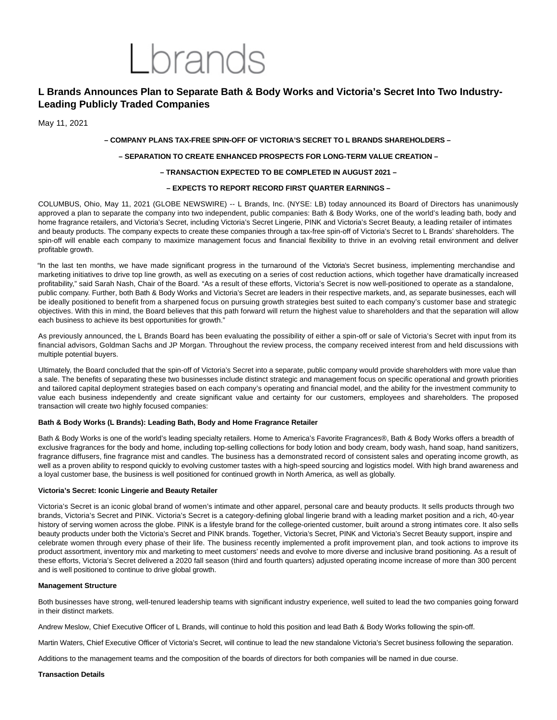# I brands

# **L Brands Announces Plan to Separate Bath & Body Works and Victoria's Secret Into Two Industry-Leading Publicly Traded Companies**

May 11, 2021

# **– COMPANY PLANS TAX-FREE SPIN-OFF OF VICTORIA'S SECRET TO L BRANDS SHAREHOLDERS –**

## **– SEPARATION TO CREATE ENHANCED PROSPECTS FOR LONG-TERM VALUE CREATION –**

# **– TRANSACTION EXPECTED TO BE COMPLETED IN AUGUST 2021 –**

### **– EXPECTS TO REPORT RECORD FIRST QUARTER EARNINGS –**

COLUMBUS, Ohio, May 11, 2021 (GLOBE NEWSWIRE) -- L Brands, Inc. (NYSE: LB) today announced its Board of Directors has unanimously approved a plan to separate the company into two independent, public companies: Bath & Body Works, one of the world's leading bath, body and home fragrance retailers, and Victoria's Secret, including Victoria's Secret Lingerie, PINK and Victoria's Secret Beauty, a leading retailer of intimates and beauty products. The company expects to create these companies through a tax-free spin-off of Victoria's Secret to L Brands' shareholders. The spin-off will enable each company to maximize management focus and financial flexibility to thrive in an evolving retail environment and deliver profitable growth.

"In the last ten months, we have made significant progress in the turnaround of the Victoria's Secret business, implementing merchandise and marketing initiatives to drive top line growth, as well as executing on a series of cost reduction actions, which together have dramatically increased profitability," said Sarah Nash, Chair of the Board. "As a result of these efforts, Victoria's Secret is now well-positioned to operate as a standalone, public company. Further, both Bath & Body Works and Victoria's Secret are leaders in their respective markets, and, as separate businesses, each will be ideally positioned to benefit from a sharpened focus on pursuing growth strategies best suited to each company's customer base and strategic objectives. With this in mind, the Board believes that this path forward will return the highest value to shareholders and that the separation will allow each business to achieve its best opportunities for growth."

As previously announced, the L Brands Board has been evaluating the possibility of either a spin-off or sale of Victoria's Secret with input from its financial advisors, Goldman Sachs and JP Morgan. Throughout the review process, the company received interest from and held discussions with multiple potential buyers.

Ultimately, the Board concluded that the spin-off of Victoria's Secret into a separate, public company would provide shareholders with more value than a sale. The benefits of separating these two businesses include distinct strategic and management focus on specific operational and growth priorities and tailored capital deployment strategies based on each company's operating and financial model, and the ability for the investment community to value each business independently and create significant value and certainty for our customers, employees and shareholders. The proposed transaction will create two highly focused companies:

#### **Bath & Body Works (L Brands): Leading Bath, Body and Home Fragrance Retailer**

Bath & Body Works is one of the world's leading specialty retailers. Home to America's Favorite Fragrances®, Bath & Body Works offers a breadth of exclusive fragrances for the body and home, including top-selling collections for body lotion and body cream, body wash, hand soap, hand sanitizers, fragrance diffusers, fine fragrance mist and candles. The business has a demonstrated record of consistent sales and operating income growth, as well as a proven ability to respond quickly to evolving customer tastes with a high-speed sourcing and logistics model. With high brand awareness and a loyal customer base, the business is well positioned for continued growth in North America, as well as globally.

#### **Victoria's Secret: Iconic Lingerie and Beauty Retailer**

Victoria's Secret is an iconic global brand of women's intimate and other apparel, personal care and beauty products. It sells products through two brands, Victoria's Secret and PINK. Victoria's Secret is a category-defining global lingerie brand with a leading market position and a rich, 40-year history of serving women across the globe. PINK is a lifestyle brand for the college-oriented customer, built around a strong intimates core. It also sells beauty products under both the Victoria's Secret and PINK brands. Together, Victoria's Secret, PINK and Victoria's Secret Beauty support, inspire and celebrate women through every phase of their life. The business recently implemented a profit improvement plan, and took actions to improve its product assortment, inventory mix and marketing to meet customers' needs and evolve to more diverse and inclusive brand positioning. As a result of these efforts, Victoria's Secret delivered a 2020 fall season (third and fourth quarters) adjusted operating income increase of more than 300 percent and is well positioned to continue to drive global growth.

#### **Management Structure**

Both businesses have strong, well-tenured leadership teams with significant industry experience, well suited to lead the two companies going forward in their distinct markets.

Andrew Meslow, Chief Executive Officer of L Brands, will continue to hold this position and lead Bath & Body Works following the spin-off.

Martin Waters, Chief Executive Officer of Victoria's Secret, will continue to lead the new standalone Victoria's Secret business following the separation.

Additions to the management teams and the composition of the boards of directors for both companies will be named in due course.

#### **Transaction Details**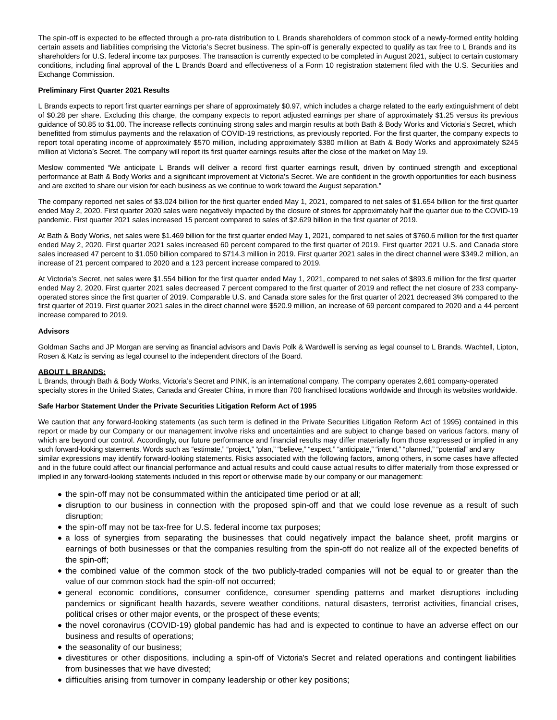The spin-off is expected to be effected through a pro-rata distribution to L Brands shareholders of common stock of a newly-formed entity holding certain assets and liabilities comprising the Victoria's Secret business. The spin-off is generally expected to qualify as tax free to L Brands and its shareholders for U.S. federal income tax purposes. The transaction is currently expected to be completed in August 2021, subject to certain customary conditions, including final approval of the L Brands Board and effectiveness of a Form 10 registration statement filed with the U.S. Securities and Exchange Commission.

## **Preliminary First Quarter 2021 Results**

L Brands expects to report first quarter earnings per share of approximately \$0.97, which includes a charge related to the early extinguishment of debt of \$0.28 per share. Excluding this charge, the company expects to report adjusted earnings per share of approximately \$1.25 versus its previous guidance of \$0.85 to \$1.00. The increase reflects continuing strong sales and margin results at both Bath & Body Works and Victoria's Secret, which benefitted from stimulus payments and the relaxation of COVID-19 restrictions, as previously reported. For the first quarter, the company expects to report total operating income of approximately \$570 million, including approximately \$380 million at Bath & Body Works and approximately \$245 million at Victoria's Secret. The company will report its first quarter earnings results after the close of the market on May 19.

Meslow commented "We anticipate L Brands will deliver a record first quarter earnings result, driven by continued strength and exceptional performance at Bath & Body Works and a significant improvement at Victoria's Secret. We are confident in the growth opportunities for each business and are excited to share our vision for each business as we continue to work toward the August separation."

The company reported net sales of \$3.024 billion for the first quarter ended May 1, 2021, compared to net sales of \$1.654 billion for the first quarter ended May 2, 2020. First quarter 2020 sales were negatively impacted by the closure of stores for approximately half the quarter due to the COVID-19 pandemic. First quarter 2021 sales increased 15 percent compared to sales of \$2.629 billion in the first quarter of 2019.

At Bath & Body Works, net sales were \$1.469 billion for the first quarter ended May 1, 2021, compared to net sales of \$760.6 million for the first quarter ended May 2, 2020. First quarter 2021 sales increased 60 percent compared to the first quarter of 2019. First quarter 2021 U.S. and Canada store sales increased 47 percent to \$1.050 billion compared to \$714.3 million in 2019. First quarter 2021 sales in the direct channel were \$349.2 million, an increase of 21 percent compared to 2020 and a 123 percent increase compared to 2019.

At Victoria's Secret, net sales were \$1.554 billion for the first quarter ended May 1, 2021, compared to net sales of \$893.6 million for the first quarter ended May 2, 2020. First quarter 2021 sales decreased 7 percent compared to the first quarter of 2019 and reflect the net closure of 233 companyoperated stores since the first quarter of 2019. Comparable U.S. and Canada store sales for the first quarter of 2021 decreased 3% compared to the first quarter of 2019. First quarter 2021 sales in the direct channel were \$520.9 million, an increase of 69 percent compared to 2020 and a 44 percent increase compared to 2019.

## **Advisors**

Goldman Sachs and JP Morgan are serving as financial advisors and Davis Polk & Wardwell is serving as legal counsel to L Brands. Wachtell, Lipton, Rosen & Katz is serving as legal counsel to the independent directors of the Board.

## **ABOUT L BRANDS:**

L Brands, through Bath & Body Works, Victoria's Secret and PINK, is an international company. The company operates 2,681 company-operated specialty stores in the United States, Canada and Greater China, in more than 700 franchised locations worldwide and through its websites worldwide.

## **Safe Harbor Statement Under the Private Securities Litigation Reform Act of 1995**

We caution that any forward-looking statements (as such term is defined in the Private Securities Litigation Reform Act of 1995) contained in this report or made by our Company or our management involve risks and uncertainties and are subject to change based on various factors, many of which are beyond our control. Accordingly, our future performance and financial results may differ materially from those expressed or implied in any such forward-looking statements. Words such as "estimate," "project," "plan," "believe," "expect," "anticipate," "intend," "planned," "potential" and any similar expressions may identify forward-looking statements. Risks associated with the following factors, among others, in some cases have affected and in the future could affect our financial performance and actual results and could cause actual results to differ materially from those expressed or implied in any forward-looking statements included in this report or otherwise made by our company or our management:

- the spin-off may not be consummated within the anticipated time period or at all;
- disruption to our business in connection with the proposed spin-off and that we could lose revenue as a result of such disruption;
- the spin-off may not be tax-free for U.S. federal income tax purposes;
- a loss of synergies from separating the businesses that could negatively impact the balance sheet, profit margins or earnings of both businesses or that the companies resulting from the spin-off do not realize all of the expected benefits of the spin-off;
- the combined value of the common stock of the two publicly-traded companies will not be equal to or greater than the value of our common stock had the spin-off not occurred;
- general economic conditions, consumer confidence, consumer spending patterns and market disruptions including pandemics or significant health hazards, severe weather conditions, natural disasters, terrorist activities, financial crises, political crises or other major events, or the prospect of these events;
- the novel coronavirus (COVID-19) global pandemic has had and is expected to continue to have an adverse effect on our business and results of operations;
- the seasonality of our business;
- divestitures or other dispositions, including a spin-off of Victoria's Secret and related operations and contingent liabilities from businesses that we have divested;
- difficulties arising from turnover in company leadership or other key positions;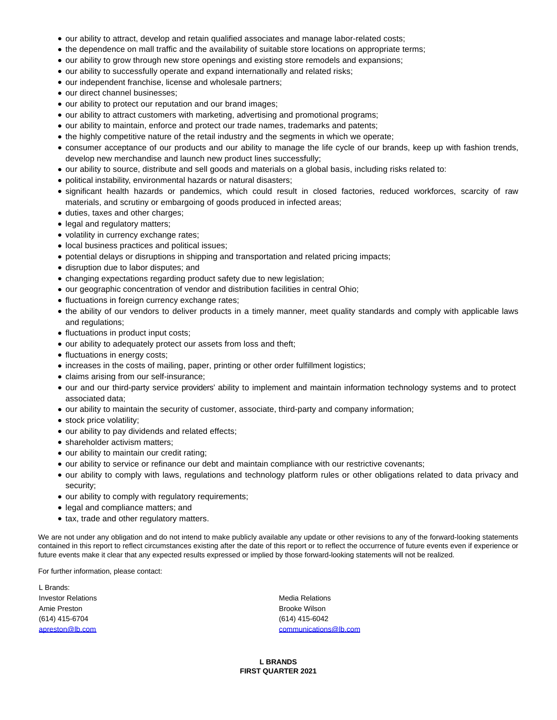- our ability to attract, develop and retain qualified associates and manage labor-related costs;
- the dependence on mall traffic and the availability of suitable store locations on appropriate terms;
- our ability to grow through new store openings and existing store remodels and expansions;
- our ability to successfully operate and expand internationally and related risks;
- our independent franchise, license and wholesale partners;
- our direct channel businesses;
- our ability to protect our reputation and our brand images;
- our ability to attract customers with marketing, advertising and promotional programs;
- our ability to maintain, enforce and protect our trade names, trademarks and patents;
- the highly competitive nature of the retail industry and the segments in which we operate;
- consumer acceptance of our products and our ability to manage the life cycle of our brands, keep up with fashion trends, develop new merchandise and launch new product lines successfully;
- our ability to source, distribute and sell goods and materials on a global basis, including risks related to:
- political instability, environmental hazards or natural disasters;
- significant health hazards or pandemics, which could result in closed factories, reduced workforces, scarcity of raw materials, and scrutiny or embargoing of goods produced in infected areas;
- duties, taxes and other charges;
- legal and regulatory matters;
- volatility in currency exchange rates;
- local business practices and political issues;
- potential delays or disruptions in shipping and transportation and related pricing impacts;
- disruption due to labor disputes; and
- changing expectations regarding product safety due to new legislation;
- our geographic concentration of vendor and distribution facilities in central Ohio;
- $\bullet$  fluctuations in foreign currency exchange rates;
- the ability of our vendors to deliver products in a timely manner, meet quality standards and comply with applicable laws and regulations;
- fluctuations in product input costs;
- our ability to adequately protect our assets from loss and theft;
- fluctuations in energy costs;
- increases in the costs of mailing, paper, printing or other order fulfillment logistics;
- claims arising from our self-insurance;
- our and our third-party service providers' ability to implement and maintain information technology systems and to protect associated data;
- our ability to maintain the security of customer, associate, third-party and company information;
- stock price volatility;
- our ability to pay dividends and related effects;
- shareholder activism matters;
- our ability to maintain our credit rating;
- our ability to service or refinance our debt and maintain compliance with our restrictive covenants;
- our ability to comply with laws, regulations and technology platform rules or other obligations related to data privacy and security;
- our ability to comply with regulatory requirements;
- legal and compliance matters; and
- tax, trade and other regulatory matters.

We are not under any obligation and do not intend to make publicly available any update or other revisions to any of the forward-looking statements contained in this report to reflect circumstances existing after the date of this report or to reflect the occurrence of future events even if experience or future events make it clear that any expected results expressed or implied by those forward-looking statements will not be realized.

For further information, please contact:

L Brands: **Investor Relations** Media Relations and Control Control of Media Relations and Media Relations of Media Relations Amie Preston Brooke Wilson (614) 415-6704 (614) 415-6042

[apreston@lb.com](mailto:apreston@lb.com) [communications@lb.com](mailto:communications@lb.com)

**L BRANDS FIRST QUARTER 2021**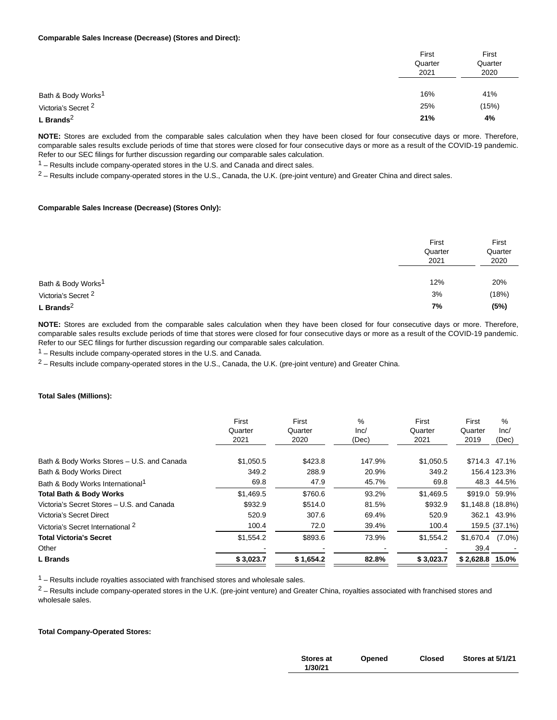#### **Comparable Sales Increase (Decrease) (Stores and Direct):**

|                                | First<br>Quarter<br>2021 | First<br>Quarter<br>2020 |  |
|--------------------------------|--------------------------|--------------------------|--|
| Bath & Body Works <sup>1</sup> | 16%                      | 41%                      |  |
| Victoria's Secret 2            | 25%<br>21%               | (15%)<br>4%              |  |
| L Brands <sup>2</sup>          |                          |                          |  |

**NOTE:** Stores are excluded from the comparable sales calculation when they have been closed for four consecutive days or more. Therefore, comparable sales results exclude periods of time that stores were closed for four consecutive days or more as a result of the COVID-19 pandemic. Refer to our SEC filings for further discussion regarding our comparable sales calculation.

 $1 -$  Results include company-operated stores in the U.S. and Canada and direct sales.

 $2 -$  Results include company-operated stores in the U.S., Canada, the U.K. (pre-joint venture) and Greater China and direct sales.

## **Comparable Sales Increase (Decrease) (Stores Only):**

|                                | First<br>Quarter<br>2021 | First<br>Quarter<br>2020 |  |
|--------------------------------|--------------------------|--------------------------|--|
| Bath & Body Works <sup>1</sup> | 12%                      | 20%                      |  |
| Victoria's Secret <sup>2</sup> | 3%                       | (18%)                    |  |
| L Brands <sup>2</sup>          | 7%                       | (5%)                     |  |

**NOTE:** Stores are excluded from the comparable sales calculation when they have been closed for four consecutive days or more. Therefore, comparable sales results exclude periods of time that stores were closed for four consecutive days or more as a result of the COVID-19 pandemic. Refer to our SEC filings for further discussion regarding our comparable sales calculation.

 $1 -$  Results include company-operated stores in the U.S. and Canada.

2 – Results include company-operated stores in the U.S., Canada, the U.K. (pre-joint venture) and Greater China.

# **Total Sales (Millions):**

|                                              | First<br>Quarter<br>2021 | First<br>Quarter<br>2020 | %<br>lnc/<br>(Dec) | First<br>Quarter<br>2021 | First<br>Quarter<br>2019 | %<br>lnc/<br>(Dec) |
|----------------------------------------------|--------------------------|--------------------------|--------------------|--------------------------|--------------------------|--------------------|
| Bath & Body Works Stores - U.S. and Canada   | \$1,050.5                | \$423.8                  | 147.9%             | \$1,050.5                |                          | \$714.3 47.1%      |
| Bath & Body Works Direct                     | 349.2                    | 288.9                    | 20.9%              | 349.2                    |                          | 156.4 123.3%       |
| Bath & Body Works International <sup>1</sup> | 69.8                     | 47.9                     | 45.7%              | 69.8                     |                          | 48.3 44.5%         |
| <b>Total Bath &amp; Body Works</b>           | \$1.469.5                | \$760.6                  | 93.2%              | \$1,469.5                |                          | \$919.0 59.9%      |
| Victoria's Secret Stores - U.S. and Canada   | \$932.9                  | \$514.0                  | 81.5%              | \$932.9                  | $$1,148.8$ (18.8%)       |                    |
| Victoria's Secret Direct                     | 520.9                    | 307.6                    | 69.4%              | 520.9                    | 362.1                    | 43.9%              |
| Victoria's Secret International 2            | 100.4                    | 72.0                     | 39.4%              | 100.4                    |                          | 159.5 (37.1%)      |
| <b>Total Victoria's Secret</b>               | \$1,554.2                | \$893.6                  | 73.9%              | \$1,554.2                | \$1,670.4                | $(7.0\%)$          |
| Other                                        |                          |                          |                    |                          | 39.4                     |                    |
| <b>L</b> Brands                              | \$3,023.7                | \$1,654.2                | 82.8%              | \$3,023.7                | \$2,628.8                | 15.0%              |

 $1 -$  Results include royalties associated with franchised stores and wholesale sales.

 $2$  – Results include company-operated stores in the U.K. (pre-joint venture) and Greater China, royalties associated with franchised stores and wholesale sales.

#### **Total Company-Operated Stores:**

| <b>Stores at</b> | Opened | <b>Closed</b> | Stores at 5/1/21 |
|------------------|--------|---------------|------------------|
| 1/30/21          |        |               |                  |